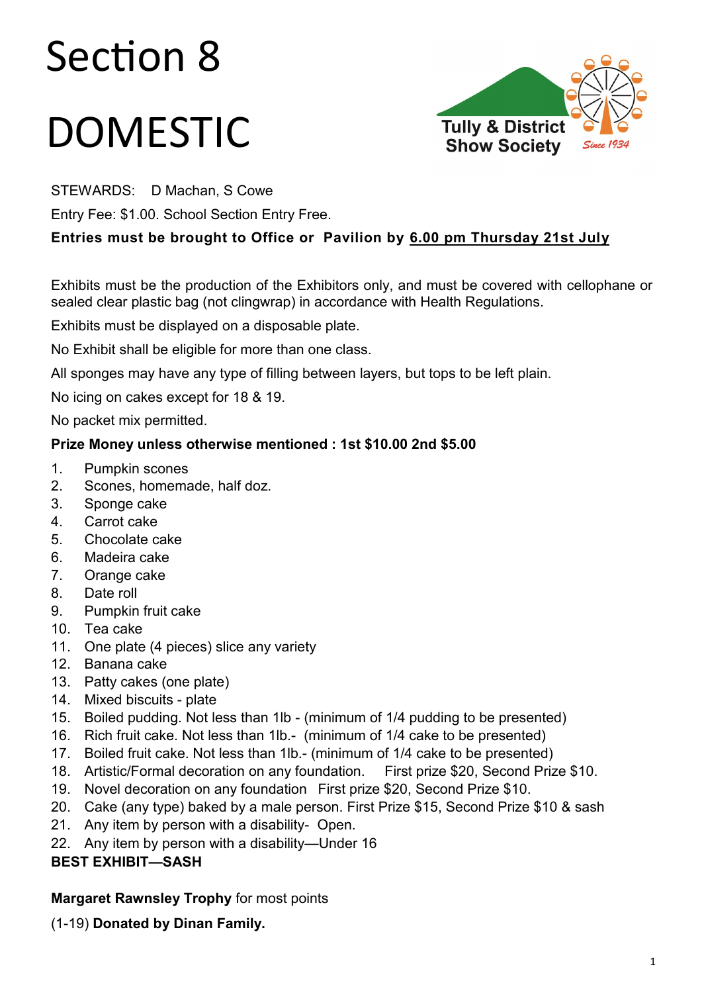# Section 8

# DOMESTIC



STEWARDS: D Machan, S Cowe

Entry Fee: \$1.00. School Section Entry Free.

# **Entries must be brought to Office or Pavilion by 6.00 pm Thursday 21st July**

Exhibits must be the production of the Exhibitors only, and must be covered with cellophane or sealed clear plastic bag (not clingwrap) in accordance with Health Regulations.

Exhibits must be displayed on a disposable plate.

No Exhibit shall be eligible for more than one class.

All sponges may have any type of filling between layers, but tops to be left plain.

No icing on cakes except for 18 & 19.

No packet mix permitted.

### **Prize Money unless otherwise mentioned : 1st \$10.00 2nd \$5.00**

- 1. Pumpkin scones
- 2. Scones, homemade, half doz.
- 3. Sponge cake
- 4. Carrot cake
- 5. Chocolate cake
- 6. Madeira cake
- 7. Orange cake
- 8. Date roll
- 9. Pumpkin fruit cake
- 10. Tea cake
- 11. One plate (4 pieces) slice any variety
- 12. Banana cake
- 13. Patty cakes (one plate)
- 14. Mixed biscuits plate
- 15. Boiled pudding. Not less than 1lb (minimum of 1/4 pudding to be presented)
- 16. Rich fruit cake. Not less than 1lb.- (minimum of 1/4 cake to be presented)
- 17. Boiled fruit cake. Not less than 1lb.- (minimum of 1/4 cake to be presented)
- 18. Artistic/Formal decoration on any foundation. First prize \$20, Second Prize \$10.
- 19. Novel decoration on any foundation First prize \$20, Second Prize \$10.
- 20. Cake (any type) baked by a male person. First Prize \$15, Second Prize \$10 & sash
- 21. Any item by person with a disability- Open.
- 22. Any item by person with a disability—Under 16

# **BEST EXHIBIT—SASH**

# **Margaret Rawnsley Trophy** for most points

(1-19) **Donated by Dinan Family.**